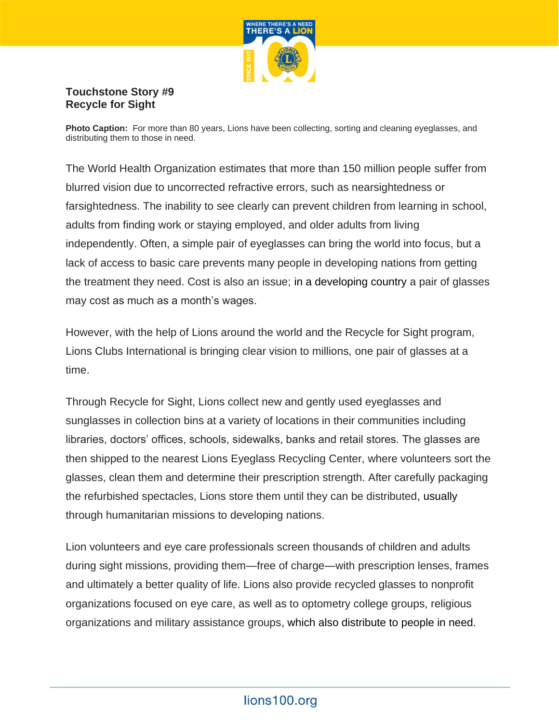

## **Touchstone Story #9 Recycle for Sight**

**Photo Caption:** For more than 80 years, Lions have been collecting, sorting and cleaning eyeglasses, and distributing them to those in need.

The World Health Organization estimates that more than 150 million people suffer from blurred vision due to uncorrected refractive errors, such as nearsightedness or farsightedness. The inability to see clearly can prevent children from learning in school, adults from finding work or staying employed, and older adults from living independently. Often, a simple pair of eyeglasses can bring the world into focus, but a lack of access to basic care prevents many people in developing nations from getting the treatment they need. Cost is also an issue; in a developing country a pair of glasses may cost as much as a month's wages.

However, with the help of Lions around the world and the Recycle for Sight program, Lions Clubs International is bringing clear vision to millions, one pair of glasses at a time.

Through Recycle for Sight, Lions collect new and gently used eyeglasses and sunglasses in collection bins at a variety of locations in their communities including libraries, doctors' offices, schools, sidewalks, banks and retail stores. The glasses are then shipped to the nearest Lions Eyeglass Recycling Center, where volunteers sort the glasses, clean them and determine their prescription strength. After carefully packaging the refurbished spectacles, Lions store them until they can be distributed, usually through humanitarian missions to developing nations.

Lion volunteers and eye care professionals screen thousands of children and adults during sight missions, providing them—free of charge—with prescription lenses, frames and ultimately a better quality of life. Lions also provide recycled glasses to nonprofit organizations focused on eye care, as well as to optometry college groups, religious organizations and military assistance groups, which also distribute to people in need.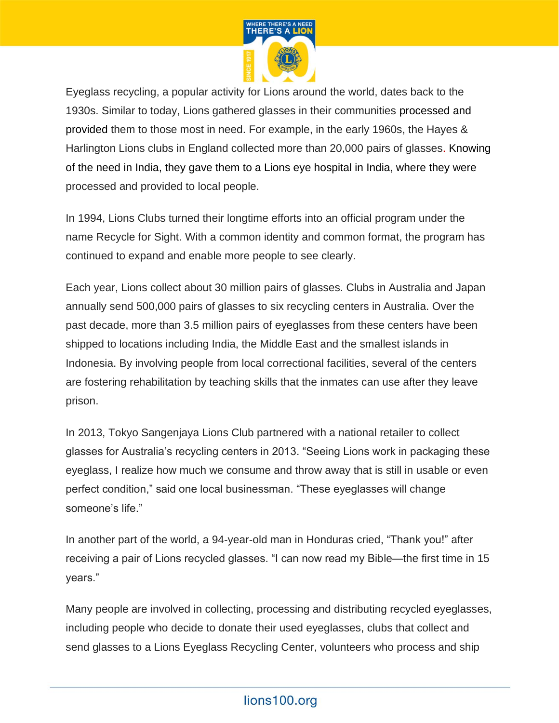

Eyeglass recycling, a popular activity for Lions around the world, dates back to the 1930s. Similar to today, Lions gathered glasses in their communities processed and provided them to those most in need. For example, in the early 1960s, the Hayes & Harlington Lions clubs in England collected more than 20,000 pairs of glasses. Knowing of the need in India, they gave them to a Lions eye hospital in India, where they were processed and provided to local people.

In 1994, Lions Clubs turned their longtime efforts into an official program under the name Recycle for Sight. With a common identity and common format, the program has continued to expand and enable more people to see clearly.

Each year, Lions collect about 30 million pairs of glasses. Clubs in Australia and Japan annually send 500,000 pairs of glasses to six recycling centers in Australia. Over the past decade, more than 3.5 million pairs of eyeglasses from these centers have been shipped to locations including India, the Middle East and the smallest islands in Indonesia. By involving people from local correctional facilities, several of the centers are fostering rehabilitation by teaching skills that the inmates can use after they leave prison.

In 2013, Tokyo Sangenjaya Lions Club partnered with a national retailer to collect glasses for Australia's recycling centers in 2013. "Seeing Lions work in packaging these eyeglass, I realize how much we consume and throw away that is still in usable or even perfect condition," said one local businessman. "These eyeglasses will change someone's life."

In another part of the world, a 94-year-old man in Honduras cried, "Thank you!" after receiving a pair of Lions recycled glasses. "I can now read my Bible—the first time in 15 years."

Many people are involved in collecting, processing and distributing recycled eyeglasses, including people who decide to donate their used eyeglasses, clubs that collect and send glasses to a Lions Eyeglass Recycling Center, volunteers who process and ship

## lions100.org